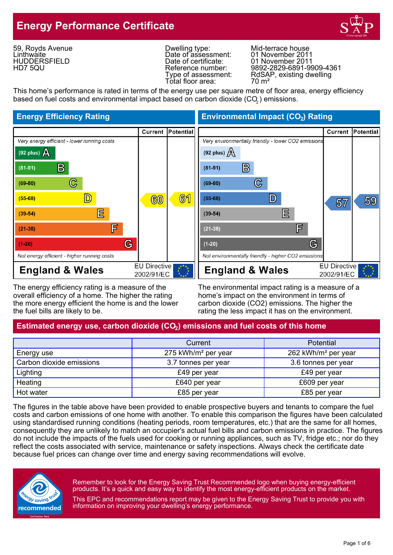# **Energy Performance Certificate**



59, Royds Avenue **Linthwaite HUDDERSFIELD** HD7 5QU

Dwelling type: Mid-terrace house Date of assessment:<br>Date of certificate: Total floor area:

01 November 2011<br>01 November 2011 Reference number: 9892-2829-6891-9909-4361 Type of assessment: RdSAP, existing dwelling<br>Total floor area: 70 m<sup>2</sup>

This home's performance is rated in terms of the energy use per square metre of floor area, energy efficiency based on fuel costs and environmental impact based on carbon dioxide (CO $_{\rm 2}$ ) emissions.



The energy efficiency rating is a measure of the The environmental impact rating is a measure of a overall efficiency of a home. The higher the rating home's impact on the environment in terms of the more energy efficient the home is and the lower carbon dioxide (CO2) emissions. The higher the the fuel bills are likely to be. The rating the less impact it has on the environment.

## Estimated energy use, carbon dioxide (CO<sub>2</sub>) emissions and fuel costs of this home

|                          | Current                         | <b>Potential</b>                |  |
|--------------------------|---------------------------------|---------------------------------|--|
| Energy use               | 275 kWh/m <sup>2</sup> per year | 262 kWh/m <sup>2</sup> per year |  |
| Carbon dioxide emissions | 3.7 tonnes per year             | 3.6 tonnes per year             |  |
| Lighting                 | £49 per year                    | £49 per year                    |  |
| Heating                  | £640 per year                   | £609 per year                   |  |
| Hot water                | £85 per year                    | £85 per year                    |  |

The figures in the table above have been provided to enable prospective buyers and tenants to compare the fuel costs and carbon emissions of one home with another. To enable this comparison the figures have been calculated using standardised running conditions (heating periods, room temperatures, etc.) that are the same for all homes, consequently they are unlikely to match an occupier's actual fuel bills and carbon emissions in practice. The figures do not include the impacts of the fuels used for cooking or running appliances, such as TV, fridge etc.; nor do they reflect the costs associated with service, maintenance or safety inspections. Always check the certificate date because fuel prices can change over time and energy saving recommendations will evolve.



Remember to look for the Energy Saving Trust Recommended logo when buying energy-efficient products. It's a quick and easy way to identify the most energy-efficient products on the market.

This EPC and recommendations report may be given to the Energy Saving Trust to provide you with information on improving your dwelling's energy performance.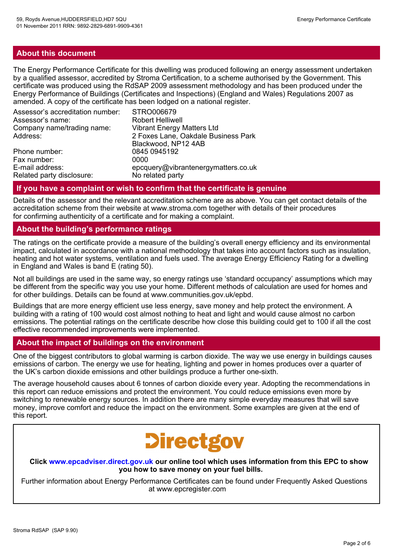#### **About this document**

The Energy Performance Certificate for this dwelling was produced following an energy assessment undertaken by a qualified assessor, accredited by Stroma Certification, to a scheme authorised by the Government. This certificate was produced using the RdSAP 2009 assessment methodology and has been produced under the Energy Performance of Buildings (Certificates and Inspections) (England and Wales) Regulations 2007 as amended. A copy of the certificate has been lodged on a national register.

| Assessor's accreditation number:<br>Assessor's name: | STRO006679<br><b>Robert Helliwell</b> |
|------------------------------------------------------|---------------------------------------|
| Company name/trading name:                           | <b>Vibrant Energy Matters Ltd</b>     |
| Address:                                             | 2 Foxes Lane, Oakdale Business Park   |
|                                                      | Blackwood, NP12 4AB                   |
| Phone number:                                        | 0845 0945192                          |
| Fax number:                                          | 0000                                  |
| E-mail address:                                      | epcquery@vibrantenergymatters.co.uk   |
| Related party disclosure:                            | No related party                      |

#### **If you have a complaint or wish to confirm that the certificate is genuine**

Details of the assessor and the relevant accreditation scheme are as above. You can get contact details of the accreditation scheme from their website at www.stroma.com together with details of their procedures for confirming authenticity of a certificate and for making a complaint.

#### **About the building's performance ratings**

The ratings on the certificate provide a measure of the building's overall energy efficiency and its environmental impact, calculated in accordance with a national methodology that takes into account factors such as insulation, heating and hot water systems, ventilation and fuels used. The average Energy Efficiency Rating for a dwelling in England and Wales is band E (rating 50).

Not all buildings are used in the same way, so energy ratings use 'standard occupancy' assumptions which may be different from the specific way you use your home. Different methods of calculation are used for homes and for other buildings. Details can be found at www.communities.gov.uk/epbd.

Buildings that are more energy efficient use less energy, save money and help protect the environment. A building with a rating of 100 would cost almost nothing to heat and light and would cause almost no carbon emissions. The potential ratings on the certificate describe how close this building could get to 100 if all the cost effective recommended improvements were implemented.

#### **About the impact of buildings on the environment**

One of the biggest contributors to global warming is carbon dioxide. The way we use energy in buildings causes emissions of carbon. The energy we use for heating, lighting and power in homes produces over a quarter of the UK's carbon dioxide emissions and other buildings produce a further one-sixth.

The average household causes about 6 tonnes of carbon dioxide every year. Adopting the recommendations in this report can reduce emissions and protect the environment. You could reduce emissions even more by switching to renewable energy sources. In addition there are many simple everyday measures that will save money, improve comfort and reduce the impact on the environment. Some examples are given at the end of this report.

# **Directgov**

**Click www.epcadviser.direct.gov.uk our online tool which uses information from this EPC to show you how to save money on your fuel bills.**

Further information about Energy Performance Certificates can be found under Frequently Asked Questions at www.epcregister.com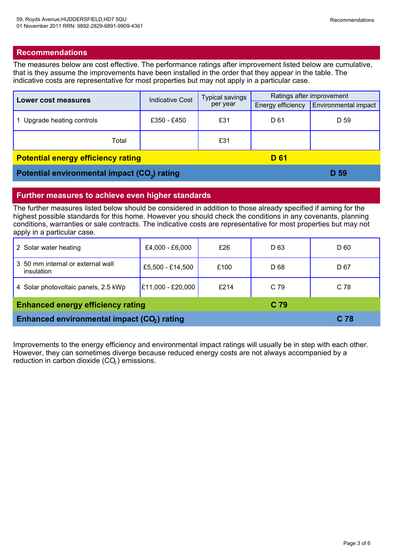#### **Recommendations**

The measures below are cost effective. The performance ratings after improvement listed below are cumulative, that is they assume the improvements have been installed in the order that they appear in the table. The indicative costs are representative for most properties but may not apply in a particular case.

| <b>Lower cost measures</b>                               | <b>Indicative Cost</b> | <b>Typical savings</b><br>per year | Ratings after improvement |                             |
|----------------------------------------------------------|------------------------|------------------------------------|---------------------------|-----------------------------|
|                                                          |                        |                                    | Energy efficiency         | <b>Environmental impact</b> |
| Upgrade heating controls                                 | £350 - £450            | £31                                | D 61                      | D 59                        |
| Total                                                    |                        | £31                                |                           |                             |
| <b>Potential energy efficiency rating</b><br><b>D</b> 61 |                        |                                    |                           |                             |
| Potential environmental impact (CO <sub>2</sub> ) rating |                        |                                    |                           | D 59                        |

#### **Further measures to achieve even higher standards**

The further measures listed below should be considered in addition to those already specified if aiming for the highest possible standards for this home. However you should check the conditions in any covenants, planning conditions, warranties or sale contracts. The indicative costs are representative for most properties but may not apply in a particular case.

| 2 Solar water heating                                       | £4,000 - £6,000   | £26  | D <sub>63</sub> | D 60            |
|-------------------------------------------------------------|-------------------|------|-----------------|-----------------|
| 3 50 mm internal or external wall<br>insulation             | £5,500 - £14,500  | £100 | D 68            | D 67            |
| 4 Solar photovoltaic panels, 2.5 kWp                        | E11,000 - £20,000 | £214 | C 79            | C 78            |
| <b>Enhanced energy efficiency rating</b><br>C <sub>79</sub> |                   |      |                 |                 |
| Enhanced environmental impact (CO <sub>2</sub> ) rating     |                   |      |                 | C <sub>78</sub> |

Improvements to the energy efficiency and environmental impact ratings will usually be in step with each other. However, they can sometimes diverge because reduced energy costs are not always accompanied by a reduction in carbon dioxide  $(CO<sub>2</sub>)$  emissions.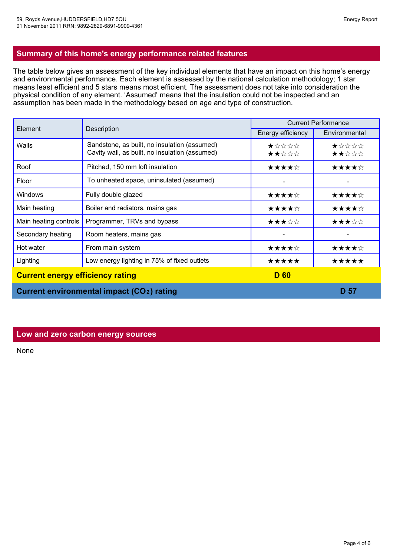# **Summary of this home's energy performance related features**

The table below gives an assessment of the key individual elements that have an impact on this home's energy and environmental performance. Each element is assessed by the national calculation methodology; 1 star means least efficient and 5 stars means most efficient. The assessment does not take into consideration the physical condition of any element. 'Assumed' means that the insulation could not be inspected and an assumption has been made in the methodology based on age and type of construction.

|                                         |                                                                                                | <b>Current Performance</b> |                |
|-----------------------------------------|------------------------------------------------------------------------------------------------|----------------------------|----------------|
| Element                                 | Description                                                                                    | Energy efficiency          | Environmental  |
| Walls                                   | Sandstone, as built, no insulation (assumed)<br>Cavity wall, as built, no insulation (assumed) | ★☆☆☆☆<br>★★☆☆☆             | ★☆☆☆☆<br>★★☆☆☆ |
| Roof                                    | Pitched, 150 mm loft insulation                                                                | ★★★★☆                      | ★★★★☆          |
| Floor                                   | To unheated space, uninsulated (assumed)                                                       |                            |                |
| <b>Windows</b>                          | Fully double glazed                                                                            | ★★★★☆                      | ★★★★☆          |
| Main heating                            | Boiler and radiators, mains gas                                                                | ★★★★☆                      | ★★★★☆          |
| Main heating controls                   | Programmer, TRVs and bypass                                                                    | ★★★☆☆                      | ★★★☆☆          |
| Secondary heating                       | Room heaters, mains gas                                                                        |                            |                |
| Hot water                               | From main system                                                                               | ★★★★☆                      | ★★★★☆          |
| Lighting                                | Low energy lighting in 75% of fixed outlets                                                    | ★★★★★                      | ★★★★★          |
| <b>Current energy efficiency rating</b> |                                                                                                | <b>D</b> 60                |                |
|                                         | Current environmental impact (CO <sub>2</sub> ) rating                                         |                            | D 57           |

#### **Low and zero carbon energy sources**

None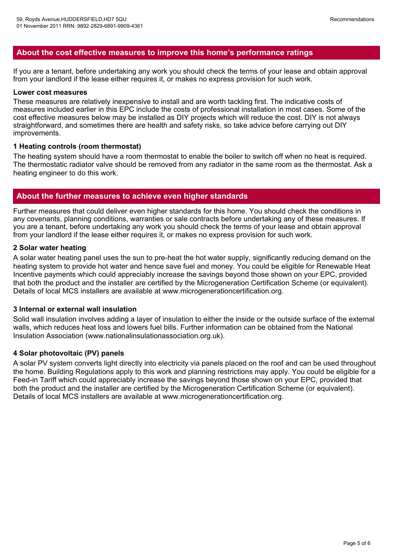#### **About the cost effective measures to improve this home's performance ratings**

If you are a tenant, before undertaking any work you should check the terms of your lease and obtain approval from your landlord if the lease either requires it, or makes no express provision for such work.

#### **Lower cost measures**

These measures are relatively inexpensive to install and are worth tackling first. The indicative costs of measures included earlier in this EPC include the costs of professional installation in most cases. Some of the cost effective measures below may be installed as DIY projects which will reduce the cost. DIY is not always straightforward, and sometimes there are health and safety risks, so take advice before carrying out DIY improvements.

#### **1 Heating controls (room thermostat)**

The heating system should have <sup>a</sup> room thermostat to enable the boiler to switch off when no heat is required. The thermostatic radiator valve should be removed from any radiator in the same room as the thermostat. Ask <sup>a</sup> heating engineer to do this work.

#### **About the further measures to achieve even higher standards**

Further measures that could deliver even higher standards for this home. You should check the conditions in any covenants, planning conditions, warranties or sale contracts before undertaking any of these measures. If you are a tenant, before undertaking any work you should check the terms of your lease and obtain approval from your landlord if the lease either requires it, or makes no express provision for such work.

#### **2 Solar water heating**

A solar water heating panel uses the sun to pre-heat the hot water supply, significantly reducing demand on the heating system to provide hot water and hence save fuel and money. You could be eligible for Renewable Heat Incentive payments which could appreciably increase the savings beyond those shown on your EPC, provided that both the product and the installer are certified by the Microgeneration Certification Scheme (or equivalent). Details of local MCS installers are available at www.microgenerationcertification.org.

#### **3 Internal or external wall insulation**

Solid wall insulation involves adding <sup>a</sup> layer of insulation to either the inside or the outside surface of the external walls, which reduces heat loss and lowers fuel bills. Further information can be obtained from the National Insulation Association (www.nationalinsulationassociation.org.uk).

#### **4 Solar photovoltaic (PV) panels**

A solar PV system converts light directly into electricity via panels placed on the roof and can be used throughout the home. Building Regulations apply to this work and planning restrictions may apply. You could be eligible for <sup>a</sup> Feed-in Tariff which could appreciably increase the savings beyond those shown on your EPC, provided that both the product and the installer are certified by the Microgeneration Certification Scheme (or equivalent). Details of local MCS installers are available at www.microgenerationcertification.org.